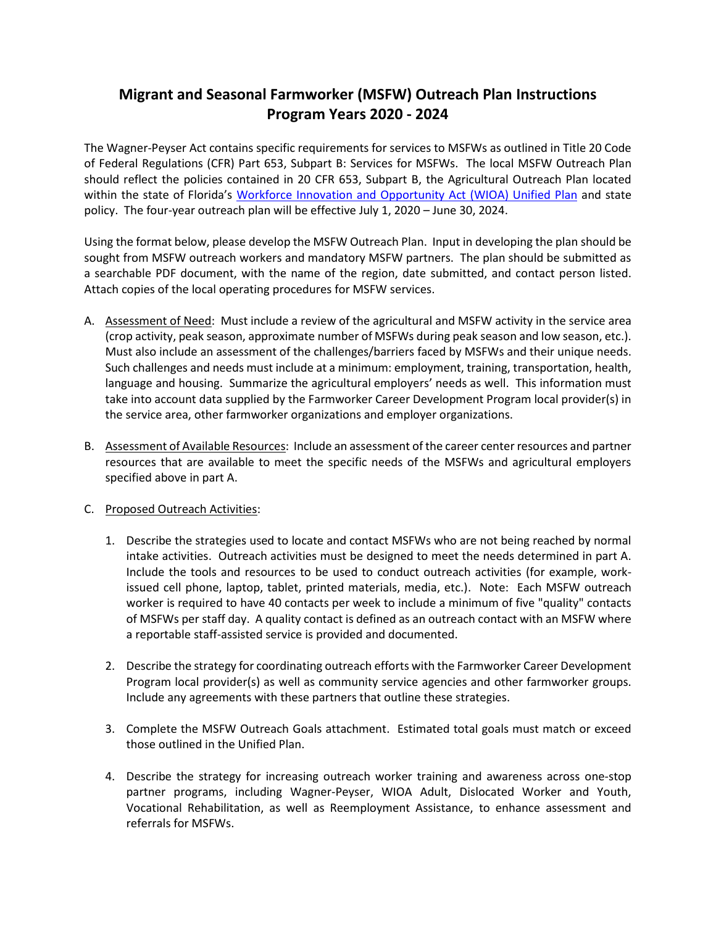## **Migrant and Seasonal Farmworker (MSFW) Outreach Plan Instructions Program Years 2020 - 2024**

The Wagner-Peyser Act contains specific requirements for services to MSFWs as outlined in Title 20 Code of Federal Regulations (CFR) Part 653, Subpart B: Services for MSFWs. The local MSFW Outreach Plan should reflect the policies contained in 20 CFR 653, Subpart B, the Agricultural Outreach Plan located within the state of Florida's [Workforce Innovation and Opportunity Act](https://careersourceflorida.com/about-us/policies-and-initiatives/) (WIOA) Unified Plan and state policy. The four-year outreach plan will be effective July 1, 2020 – June 30, 2024.

Using the format below, please develop the MSFW Outreach Plan. Input in developing the plan should be sought from MSFW outreach workers and mandatory MSFW partners. The plan should be submitted as a searchable PDF document, with the name of the region, date submitted, and contact person listed. Attach copies of the local operating procedures for MSFW services.

- A. Assessment of Need: Must include a review of the agricultural and MSFW activity in the service area (crop activity, peak season, approximate number of MSFWs during peak season and low season, etc.). Must also include an assessment of the challenges/barriers faced by MSFWs and their unique needs. Such challenges and needs must include at a minimum: employment, training, transportation, health, language and housing. Summarize the agricultural employers' needs as well. This information must take into account data supplied by the Farmworker Career Development Program local provider(s) in the service area, other farmworker organizations and employer organizations.
- B. Assessment of Available Resources: Include an assessment of the career center resources and partner resources that are available to meet the specific needs of the MSFWs and agricultural employers specified above in part A.

## C. Proposed Outreach Activities:

- 1. Describe the strategies used to locate and contact MSFWs who are not being reached by normal intake activities. Outreach activities must be designed to meet the needs determined in part A. Include the tools and resources to be used to conduct outreach activities (for example, workissued cell phone, laptop, tablet, printed materials, media, etc.). Note: Each MSFW outreach worker is required to have 40 contacts per week to include a minimum of five "quality" contacts of MSFWs per staff day. A quality contact is defined as an outreach contact with an MSFW where a reportable staff-assisted service is provided and documented.
- 2. Describe the strategy for coordinating outreach efforts with the Farmworker Career Development Program local provider(s) as well as community service agencies and other farmworker groups. Include any agreements with these partners that outline these strategies.
- 3. Complete the MSFW Outreach Goals attachment. Estimated total goals must match or exceed those outlined in the Unified Plan.
- 4. Describe the strategy for increasing outreach worker training and awareness across one-stop partner programs, including Wagner-Peyser, WIOA Adult, Dislocated Worker and Youth, Vocational Rehabilitation, as well as Reemployment Assistance, to enhance assessment and referrals for MSFWs.